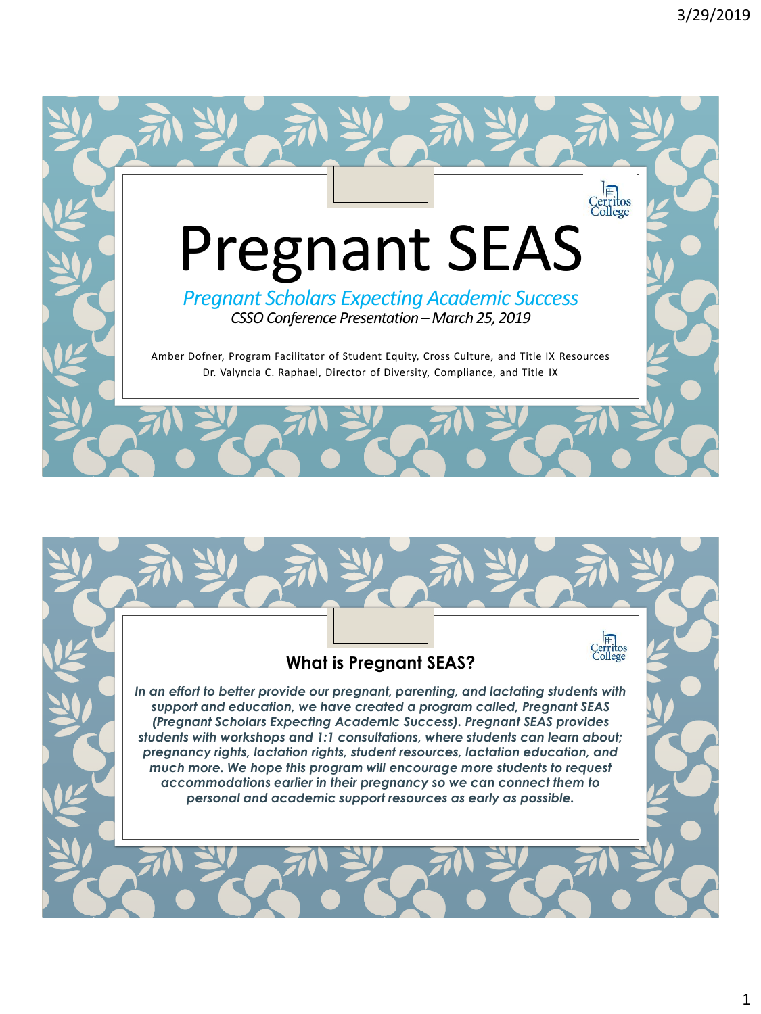

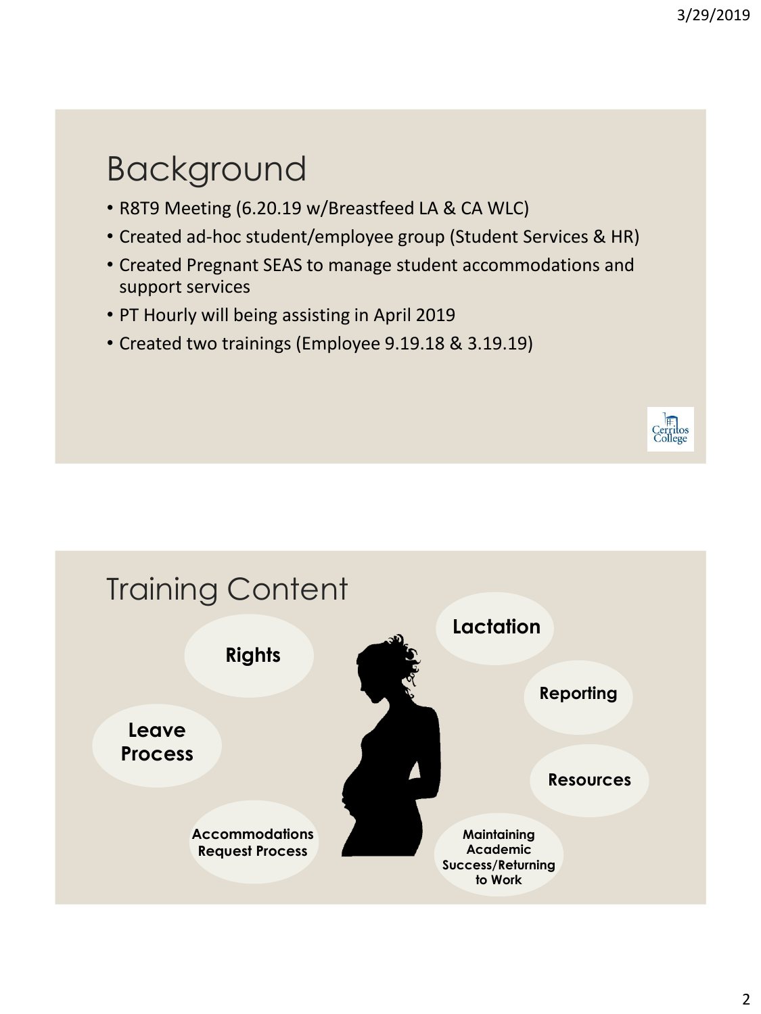## Background

- R8T9 Meeting (6.20.19 w/Breastfeed LA & CA WLC)
- Created ad-hoc student/employee group (Student Services & HR)
- Created Pregnant SEAS to manage student accommodations and support services
- PT Hourly will being assisting in April 2019
- Created two trainings (Employee 9.19.18 & 3.19.19)